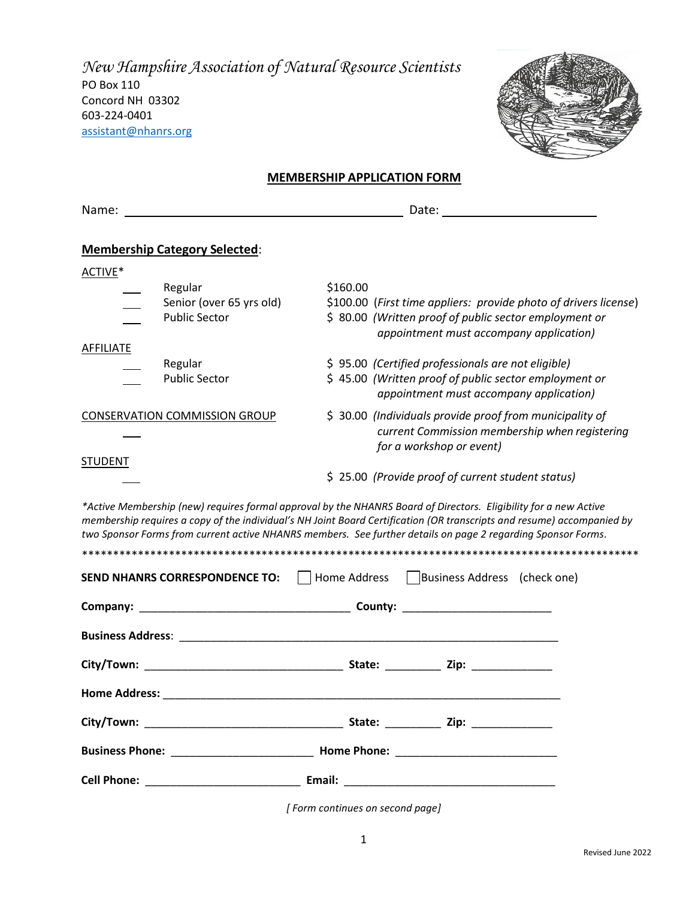New Hampshire Association of Natural Resource Scientists PO Box 110 Concord NH 03302 603-224-0401 assistant@nhanrs.org



## **MEMBERSHIP APPLICATION FORM**

| Name:            |                                                                                                                                                                                                                                                                                                                                                            |          |  |                                                                                                   |                                                                  |  |  |
|------------------|------------------------------------------------------------------------------------------------------------------------------------------------------------------------------------------------------------------------------------------------------------------------------------------------------------------------------------------------------------|----------|--|---------------------------------------------------------------------------------------------------|------------------------------------------------------------------|--|--|
|                  |                                                                                                                                                                                                                                                                                                                                                            |          |  |                                                                                                   |                                                                  |  |  |
|                  | <b>Membership Category Selected:</b>                                                                                                                                                                                                                                                                                                                       |          |  |                                                                                                   |                                                                  |  |  |
| ACTIVE*          |                                                                                                                                                                                                                                                                                                                                                            |          |  |                                                                                                   |                                                                  |  |  |
|                  | Regular                                                                                                                                                                                                                                                                                                                                                    | \$160.00 |  |                                                                                                   |                                                                  |  |  |
|                  | Senior (over 65 yrs old)                                                                                                                                                                                                                                                                                                                                   |          |  |                                                                                                   | \$100.00 (First time appliers: provide photo of drivers license) |  |  |
|                  | <b>Public Sector</b>                                                                                                                                                                                                                                                                                                                                       |          |  | \$ 80.00 (Written proof of public sector employment or<br>appointment must accompany application) |                                                                  |  |  |
| <b>AFFILIATE</b> |                                                                                                                                                                                                                                                                                                                                                            |          |  |                                                                                                   |                                                                  |  |  |
|                  | Regular                                                                                                                                                                                                                                                                                                                                                    |          |  | \$95.00 (Certified professionals are not eligible)                                                |                                                                  |  |  |
|                  | <b>Public Sector</b>                                                                                                                                                                                                                                                                                                                                       |          |  | \$45.00 (Written proof of public sector employment or<br>appointment must accompany application)  |                                                                  |  |  |
|                  | <b>CONSERVATION COMMISSION GROUP</b>                                                                                                                                                                                                                                                                                                                       |          |  | \$ 30.00 (Individuals provide proof from municipality of                                          |                                                                  |  |  |
|                  |                                                                                                                                                                                                                                                                                                                                                            |          |  |                                                                                                   | current Commission membership when registering                   |  |  |
|                  |                                                                                                                                                                                                                                                                                                                                                            |          |  | for a workshop or event)                                                                          |                                                                  |  |  |
| <b>STUDENT</b>   |                                                                                                                                                                                                                                                                                                                                                            |          |  | \$25.00 (Provide proof of current student status)                                                 |                                                                  |  |  |
|                  |                                                                                                                                                                                                                                                                                                                                                            |          |  |                                                                                                   |                                                                  |  |  |
|                  | *Active Membership (new) requires formal approval by the NHANRS Board of Directors. Eligibility for a new Active<br>membership requires a copy of the individual's NH Joint Board Certification (OR transcripts and resume) accompanied by<br>two Sponsor Forms from current active NHANRS members. See further details on page 2 regarding Sponsor Forms. |          |  |                                                                                                   |                                                                  |  |  |
|                  |                                                                                                                                                                                                                                                                                                                                                            |          |  |                                                                                                   |                                                                  |  |  |
|                  | <b>SEND NHANRS CORRESPONDENCE TO:</b>                                                                                                                                                                                                                                                                                                                      |          |  | Home Address   Business Address (check one)                                                       |                                                                  |  |  |
|                  |                                                                                                                                                                                                                                                                                                                                                            |          |  |                                                                                                   |                                                                  |  |  |
|                  |                                                                                                                                                                                                                                                                                                                                                            |          |  |                                                                                                   |                                                                  |  |  |
|                  |                                                                                                                                                                                                                                                                                                                                                            |          |  |                                                                                                   |                                                                  |  |  |
|                  |                                                                                                                                                                                                                                                                                                                                                            |          |  |                                                                                                   |                                                                  |  |  |
|                  |                                                                                                                                                                                                                                                                                                                                                            |          |  |                                                                                                   |                                                                  |  |  |
|                  |                                                                                                                                                                                                                                                                                                                                                            |          |  |                                                                                                   |                                                                  |  |  |
|                  |                                                                                                                                                                                                                                                                                                                                                            |          |  |                                                                                                   |                                                                  |  |  |
|                  |                                                                                                                                                                                                                                                                                                                                                            |          |  |                                                                                                   |                                                                  |  |  |

[Form continues on second page]